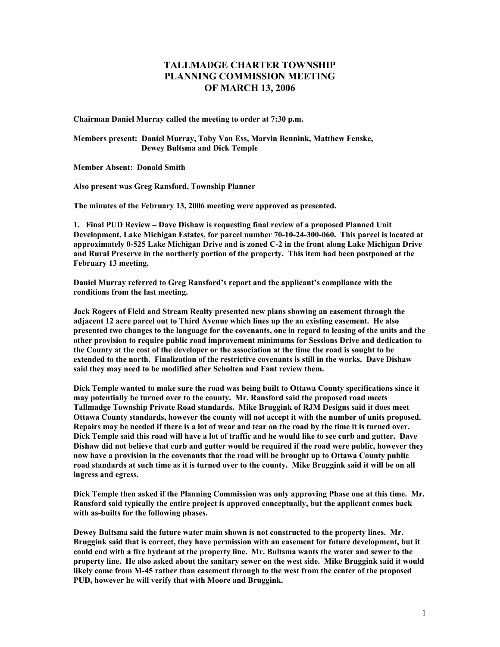## **TALLMADGE CHARTER TOWNSHIP PLANNING COMMISSION MEETING OF MARCH 13, 2006**

**Chairman Daniel Murray called the meeting to order at 7:30 p.m.** 

**Members present: Daniel Murray, Toby Van Ess, Marvin Bennink, Matthew Fenske, Dewey Bultsma and Dick Temple** 

**Member Absent: Donald Smith** 

**Also present was Greg Ransford, Township Planner** 

**The minutes of the February 13, 2006 meeting were approved as presented.** 

**1. Final PUD Review – Dave Dishaw is requesting final review of a proposed Planned Unit Development, Lake Michigan Estates, for parcel number 70-10-24-300-060. This parcel is located at approximately 0-525 Lake Michigan Drive and is zoned C-2 in the front along Lake Michigan Drive and Rural Preserve in the northerly portion of the property. This item had been postponed at the February 13 meeting.** 

**Daniel Murray referred to Greg Ransford's report and the applicant's compliance with the conditions from the last meeting.** 

**Jack Rogers of Field and Stream Realty presented new plans showing an easement through the adjacent 12 acre parcel out to Third Avenue which lines up the an existing easement. He also presented two changes to the language for the covenants, one in regard to leasing of the units and the other provision to require public road improvement minimums for Sessions Drive and dedication to the County at the cost of the developer or the association at the time the road is sought to be extended to the north. Finalization of the restrictive covenants is still in the works. Dave Dishaw said they may need to be modified after Scholten and Fant review them.** 

**Dick Temple wanted to make sure the road was being built to Ottawa County specifications since it may potentially be turned over to the county. Mr. Ransford said the proposed road meets Tallmadge Township Private Road standards. Mike Bruggink of RJM Designs said it does meet Ottawa County standards, however the county will not accept it with the number of units proposed. Repairs may be needed if there is a lot of wear and tear on the road by the time it is turned over. Dick Temple said this road will have a lot of traffic and he would like to see curb and gutter. Dave Dishaw did not believe that curb and gutter would be required if the road were public, however they now have a provision in the covenants that the road will be brought up to Ottawa County public road standards at such time as it is turned over to the county. Mike Bruggink said it will be on all ingress and egress.** 

**Dick Temple then asked if the Planning Commission was only approving Phase one at this time. Mr. Ransford said typically the entire project is approved conceptually, but the applicant comes back with as-builts for the following phases.** 

**Dewey Bultsma said the future water main shown is not constructed to the property lines. Mr. Bruggink said that is correct, they have permission with an easement for future development, but it could end with a fire hydrant at the property line. Mr. Bultsma wants the water and sewer to the property line. He also asked about the sanitary sewer on the west side. Mike Bruggink said it would likely come from M-45 rather than easement through to the west from the center of the proposed PUD, however he will verify that with Moore and Bruggink.**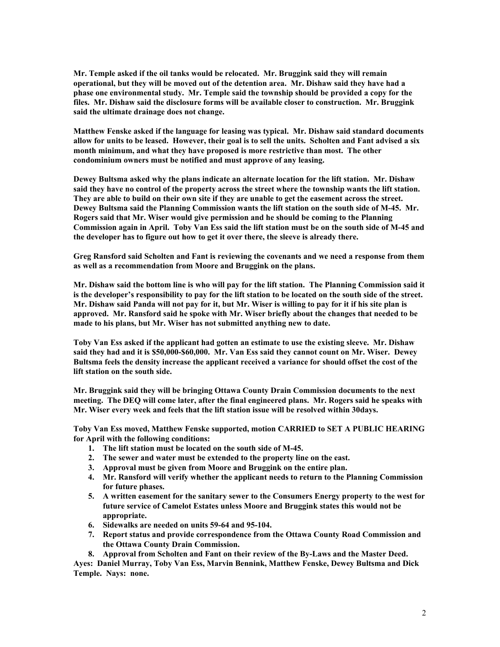**Mr. Temple asked if the oil tanks would be relocated. Mr. Bruggink said they will remain operational, but they will be moved out of the detention area. Mr. Dishaw said they have had a phase one environmental study. Mr. Temple said the township should be provided a copy for the files. Mr. Dishaw said the disclosure forms will be available closer to construction. Mr. Bruggink said the ultimate drainage does not change.** 

**Matthew Fenske asked if the language for leasing was typical. Mr. Dishaw said standard documents allow for units to be leased. However, their goal is to sell the units. Scholten and Fant advised a six month minimum, and what they have proposed is more restrictive than most. The other condominium owners must be notified and must approve of any leasing.** 

**Dewey Bultsma asked why the plans indicate an alternate location for the lift station. Mr. Dishaw said they have no control of the property across the street where the township wants the lift station. They are able to build on their own site if they are unable to get the easement across the street. Dewey Bultsma said the Planning Commission wants the lift station on the south side of M-45. Mr. Rogers said that Mr. Wiser would give permission and he should be coming to the Planning Commission again in April. Toby Van Ess said the lift station must be on the south side of M-45 and the developer has to figure out how to get it over there, the sleeve is already there.** 

**Greg Ransford said Scholten and Fant is reviewing the covenants and we need a response from them as well as a recommendation from Moore and Bruggink on the plans.** 

**Mr. Dishaw said the bottom line is who will pay for the lift station. The Planning Commission said it is the developer's responsibility to pay for the lift station to be located on the south side of the street. Mr. Dishaw said Panda will not pay for it, but Mr. Wiser is willing to pay for it if his site plan is approved. Mr. Ransford said he spoke with Mr. Wiser briefly about the changes that needed to be made to his plans, but Mr. Wiser has not submitted anything new to date.** 

**Toby Van Ess asked if the applicant had gotten an estimate to use the existing sleeve. Mr. Dishaw said they had and it is \$50,000-\$60,000. Mr. Van Ess said they cannot count on Mr. Wiser. Dewey Bultsma feels the density increase the applicant received a variance for should offset the cost of the lift station on the south side.** 

**Mr. Bruggink said they will be bringing Ottawa County Drain Commission documents to the next meeting. The DEQ will come later, after the final engineered plans. Mr. Rogers said he speaks with Mr. Wiser every week and feels that the lift station issue will be resolved within 30days.** 

**Toby Van Ess moved, Matthew Fenske supported, motion CARRIED to SET A PUBLIC HEARING for April with the following conditions:** 

- **1. The lift station must be located on the south side of M-45.**
- **2. The sewer and water must be extended to the property line on the east.**
- **3. Approval must be given from Moore and Bruggink on the entire plan.**
- **4. Mr. Ransford will verify whether the applicant needs to return to the Planning Commission for future phases.**
- **5. A written easement for the sanitary sewer to the Consumers Energy property to the west for future service of Camelot Estates unless Moore and Bruggink states this would not be appropriate.**
- **6. Sidewalks are needed on units 59-64 and 95-104.**
- **7. Report status and provide correspondence from the Ottawa County Road Commission and the Ottawa County Drain Commission.**
- **8. Approval from Scholten and Fant on their review of the By-Laws and the Master Deed.**

**Ayes: Daniel Murray, Toby Van Ess, Marvin Bennink, Matthew Fenske, Dewey Bultsma and Dick Temple. Nays: none.**